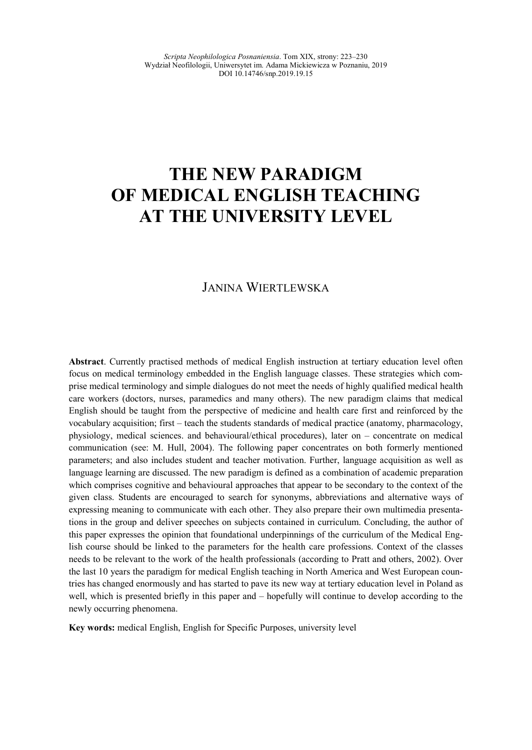# **THE NEW PARADIGM OF MEDICAL ENGLISH TEACHING AT THE UNIVERSITY LEVEL**

## JANINA WIERTLEWSKA

**Abstract**. Currently practised methods of medical English instruction at tertiary education level often focus on medical terminology embedded in the English language classes. These strategies which comprise medical terminology and simple dialogues do not meet the needs of highly qualified medical health care workers (doctors, nurses, paramedics and many others). The new paradigm claims that medical English should be taught from the perspective of medicine and health care first and reinforced by the vocabulary acquisition; first – teach the students standards of medical practice (anatomy, pharmacology, physiology, medical sciences. and behavioural/ethical procedures), later on – concentrate on medical communication (see: M. Hull, 2004). The following paper concentrates on both formerly mentioned parameters; and also includes student and teacher motivation. Further, language acquisition as well as language learning are discussed. The new paradigm is defined as a combination of academic preparation which comprises cognitive and behavioural approaches that appear to be secondary to the context of the given class. Students are encouraged to search for synonyms, abbreviations and alternative ways of expressing meaning to communicate with each other. They also prepare their own multimedia presentations in the group and deliver speeches on subjects contained in curriculum. Concluding, the author of this paper expresses the opinion that foundational underpinnings of the curriculum of the Medical English course should be linked to the parameters for the health care professions. Context of the classes needs to be relevant to the work of the health professionals (according to Pratt and others, 2002). Over the last 10 years the paradigm for medical English teaching in North America and West European countries has changed enormously and has started to pave its new way at tertiary education level in Poland as well, which is presented briefly in this paper and – hopefully will continue to develop according to the newly occurring phenomena.

**Key words:** medical English, English for Specific Purposes, university level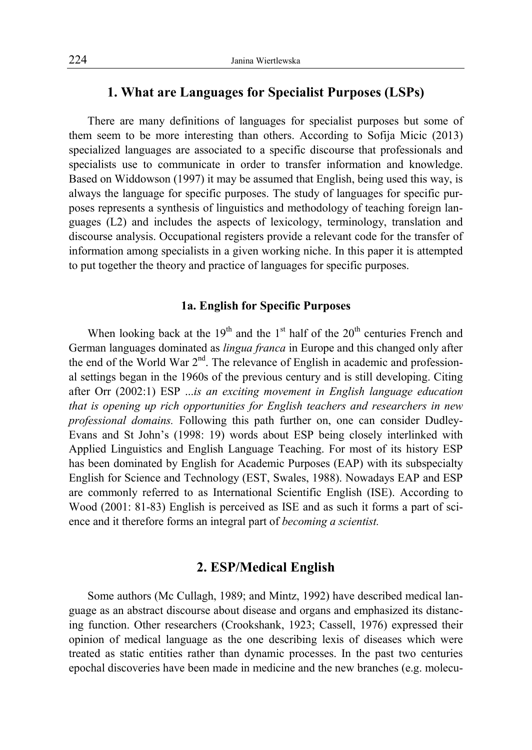### **1. What are Languages for Specialist Purposes (LSPs)**

There are many definitions of languages for specialist purposes but some of them seem to be more interesting than others. According to Sofija Micic (2013) specialized languages are associated to a specific discourse that professionals and specialists use to communicate in order to transfer information and knowledge. Based on Widdowson (1997) it may be assumed that English, being used this way, is always the language for specific purposes. The study of languages for specific purposes represents a synthesis of linguistics and methodology of teaching foreign languages (L2) and includes the aspects of lexicology, terminology, translation and discourse analysis. Occupational registers provide a relevant code for the transfer of information among specialists in a given working niche. In this paper it is attempted to put together the theory and practice of languages for specific purposes.

#### **1a. English for Specific Purposes**

When looking back at the  $19<sup>th</sup>$  and the  $1<sup>st</sup>$  half of the  $20<sup>th</sup>$  centuries French and German languages dominated as *lingua franca* in Europe and this changed only after the end of the World War 2<sup>nd</sup>. The relevance of English in academic and professional settings began in the 1960s of the previous century and is still developing. Citing after Orr (2002:1) ESP ...*is an exciting movement in English language education that is opening up rich opportunities for English teachers and researchers in new professional domains.* Following this path further on, one can consider Dudley-Evans and St John's (1998: 19) words about ESP being closely interlinked with Applied Linguistics and English Language Teaching. For most of its history ESP has been dominated by English for Academic Purposes (EAP) with its subspecialty English for Science and Technology (EST, Swales, 1988). Nowadays EAP and ESP are commonly referred to as International Scientific English (ISE). According to Wood (2001: 81-83) English is perceived as ISE and as such it forms a part of science and it therefore forms an integral part of *becoming a scientist.*

## **2. ESP/Medical English**

Some authors (Mc Cullagh, 1989; and Mintz, 1992) have described medical language as an abstract discourse about disease and organs and emphasized its distancing function. Other researchers (Crookshank, 1923; Cassell, 1976) expressed their opinion of medical language as the one describing lexis of diseases which were treated as static entities rather than dynamic processes. In the past two centuries epochal discoveries have been made in medicine and the new branches (e.g. molecu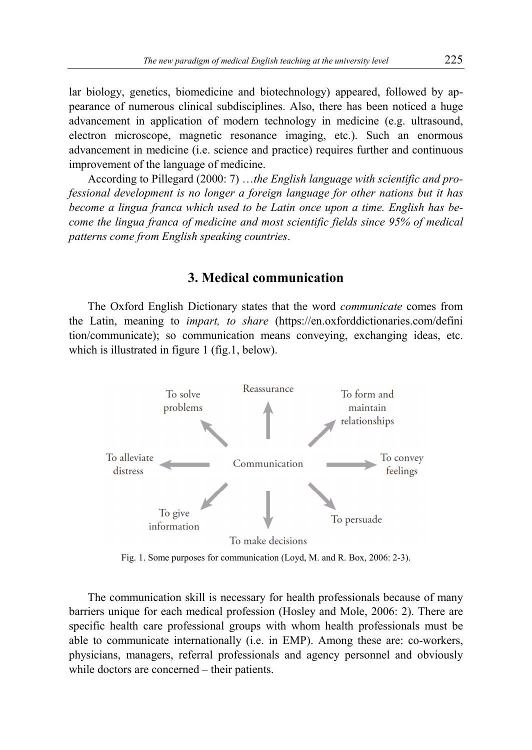lar biology, genetics, biomedicine and biotechnology) appeared, followed by appearance of numerous clinical subdisciplines. Also, there has been noticed a huge advancement in application of modern technology in medicine (e.g. ultrasound, electron microscope, magnetic resonance imaging, etc.). Such an enormous advancement in medicine (i.e. science and practice) requires further and continuous improvement of the language of medicine.

According to Pillegard (2000: 7) …*the English language with scientific and professional development is no longer a foreign language for other nations but it has become a lingua franca which used to be Latin once upon a time. English has become the lingua franca of medicine and most scientific fields since 95% of medical patterns come from English speaking countries*.

#### **3. Medical communication**

The Oxford English Dictionary states that the word *communicate* comes from the Latin, meaning to *impart, to share* (https://en.oxforddictionaries.com/defini tion/communicate); so communication means conveying, exchanging ideas, etc. which is illustrated in figure 1 (fig.1, below).



Fig. 1. Some purposes for communication (Loyd, M. and R. Box, 2006: 2-3).

The communication skill is necessary for health professionals because of many barriers unique for each medical profession (Hosley and Mole, 2006: 2). There are specific health care professional groups with whom health professionals must be able to communicate internationally (i.e. in EMP). Among these are: co-workers, physicians, managers, referral professionals and agency personnel and obviously while doctors are concerned – their patients.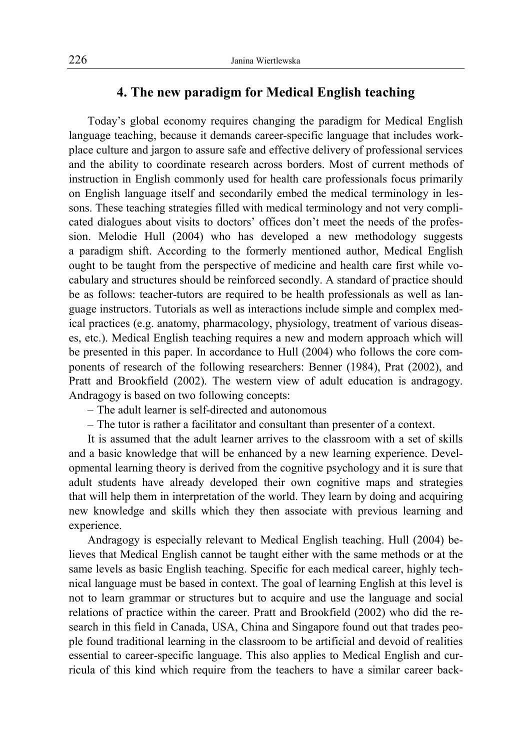## **4. The new paradigm for Medical English teaching**

Today's global economy requires changing the paradigm for Medical English language teaching, because it demands career-specific language that includes workplace culture and jargon to assure safe and effective delivery of professional services and the ability to coordinate research across borders. Most of current methods of instruction in English commonly used for health care professionals focus primarily on English language itself and secondarily embed the medical terminology in lessons. These teaching strategies filled with medical terminology and not very complicated dialogues about visits to doctors' offices don't meet the needs of the profession. Melodie Hull (2004) who has developed a new methodology suggests a paradigm shift. According to the formerly mentioned author, Medical English ought to be taught from the perspective of medicine and health care first while vocabulary and structures should be reinforced secondly. A standard of practice should be as follows: teacher-tutors are required to be health professionals as well as language instructors. Tutorials as well as interactions include simple and complex medical practices (e.g. anatomy, pharmacology, physiology, treatment of various diseases, etc.). Medical English teaching requires a new and modern approach which will be presented in this paper. In accordance to Hull (2004) who follows the core components of research of the following researchers: Benner (1984), Prat (2002), and Pratt and Brookfield (2002). The western view of adult education is andragogy. Andragogy is based on two following concepts:

- ‒ The adult learner is self-directed and autonomous
- ‒ The tutor is rather a facilitator and consultant than presenter of a context.

It is assumed that the adult learner arrives to the classroom with a set of skills and a basic knowledge that will be enhanced by a new learning experience. Developmental learning theory is derived from the cognitive psychology and it is sure that adult students have already developed their own cognitive maps and strategies that will help them in interpretation of the world. They learn by doing and acquiring new knowledge and skills which they then associate with previous learning and experience.

Andragogy is especially relevant to Medical English teaching. Hull (2004) believes that Medical English cannot be taught either with the same methods or at the same levels as basic English teaching. Specific for each medical career, highly technical language must be based in context. The goal of learning English at this level is not to learn grammar or structures but to acquire and use the language and social relations of practice within the career. Pratt and Brookfield (2002) who did the research in this field in Canada, USA, China and Singapore found out that trades people found traditional learning in the classroom to be artificial and devoid of realities essential to career-specific language. This also applies to Medical English and curricula of this kind which require from the teachers to have a similar career back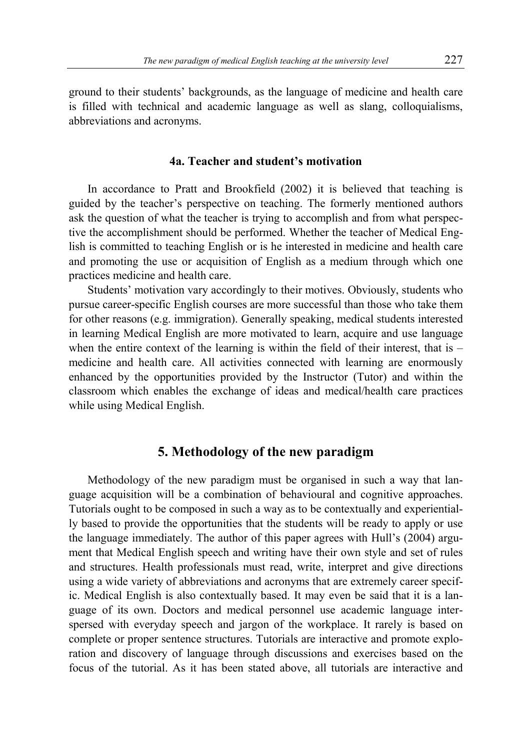ground to their students' backgrounds, as the language of medicine and health care is filled with technical and academic language as well as slang, colloquialisms, abbreviations and acronyms.

#### **4a. Teacher and student's motivation**

In accordance to Pratt and Brookfield (2002) it is believed that teaching is guided by the teacher's perspective on teaching. The formerly mentioned authors ask the question of what the teacher is trying to accomplish and from what perspective the accomplishment should be performed. Whether the teacher of Medical English is committed to teaching English or is he interested in medicine and health care and promoting the use or acquisition of English as a medium through which one practices medicine and health care.

Students' motivation vary accordingly to their motives. Obviously, students who pursue career-specific English courses are more successful than those who take them for other reasons (e.g. immigration). Generally speaking, medical students interested in learning Medical English are more motivated to learn, acquire and use language when the entire context of the learning is within the field of their interest, that is – medicine and health care. All activities connected with learning are enormously enhanced by the opportunities provided by the Instructor (Tutor) and within the classroom which enables the exchange of ideas and medical/health care practices while using Medical English.

#### **5. Methodology of the new paradigm**

Methodology of the new paradigm must be organised in such a way that language acquisition will be a combination of behavioural and cognitive approaches. Tutorials ought to be composed in such a way as to be contextually and experientially based to provide the opportunities that the students will be ready to apply or use the language immediately. The author of this paper agrees with Hull's (2004) argument that Medical English speech and writing have their own style and set of rules and structures. Health professionals must read, write, interpret and give directions using a wide variety of abbreviations and acronyms that are extremely career specific. Medical English is also contextually based. It may even be said that it is a language of its own. Doctors and medical personnel use academic language interspersed with everyday speech and jargon of the workplace. It rarely is based on complete or proper sentence structures. Tutorials are interactive and promote exploration and discovery of language through discussions and exercises based on the focus of the tutorial. As it has been stated above, all tutorials are interactive and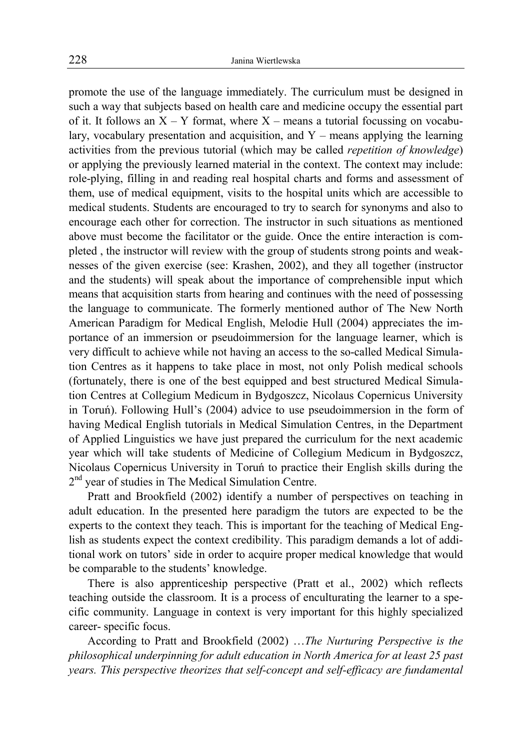promote the use of the language immediately. The curriculum must be designed in such a way that subjects based on health care and medicine occupy the essential part of it. It follows an  $X - Y$  format, where  $X -$  means a tutorial focussing on vocabulary, vocabulary presentation and acquisition, and  $Y$  – means applying the learning activities from the previous tutorial (which may be called *repetition of knowledge*) or applying the previously learned material in the context. The context may include: role-plying, filling in and reading real hospital charts and forms and assessment of them, use of medical equipment, visits to the hospital units which are accessible to medical students. Students are encouraged to try to search for synonyms and also to encourage each other for correction. The instructor in such situations as mentioned above must become the facilitator or the guide. Once the entire interaction is completed , the instructor will review with the group of students strong points and weaknesses of the given exercise (see: Krashen, 2002), and they all together (instructor and the students) will speak about the importance of comprehensible input which means that acquisition starts from hearing and continues with the need of possessing the language to communicate. The formerly mentioned author of The New North American Paradigm for Medical English, Melodie Hull (2004) appreciates the importance of an immersion or pseudoimmersion for the language learner, which is very difficult to achieve while not having an access to the so-called Medical Simulation Centres as it happens to take place in most, not only Polish medical schools (fortunately, there is one of the best equipped and best structured Medical Simulation Centres at Collegium Medicum in Bydgoszcz, Nicolaus Copernicus University in Toruń). Following Hull's (2004) advice to use pseudoimmersion in the form of having Medical English tutorials in Medical Simulation Centres, in the Department of Applied Linguistics we have just prepared the curriculum for the next academic year which will take students of Medicine of Collegium Medicum in Bydgoszcz, Nicolaus Copernicus University in Toruń to practice their English skills during the 2<sup>nd</sup> year of studies in The Medical Simulation Centre.

Pratt and Brookfield (2002) identify a number of perspectives on teaching in adult education. In the presented here paradigm the tutors are expected to be the experts to the context they teach. This is important for the teaching of Medical English as students expect the context credibility. This paradigm demands a lot of additional work on tutors' side in order to acquire proper medical knowledge that would be comparable to the students' knowledge.

There is also apprenticeship perspective (Pratt et al., 2002) which reflects teaching outside the classroom. It is a process of enculturating the learner to a specific community. Language in context is very important for this highly specialized career- specific focus.

According to Pratt and Brookfield (2002) …*The Nurturing Perspective is the philosophical underpinning for adult education in North America for at least 25 past years. This perspective theorizes that self-concept and self-efficacy are fundamental*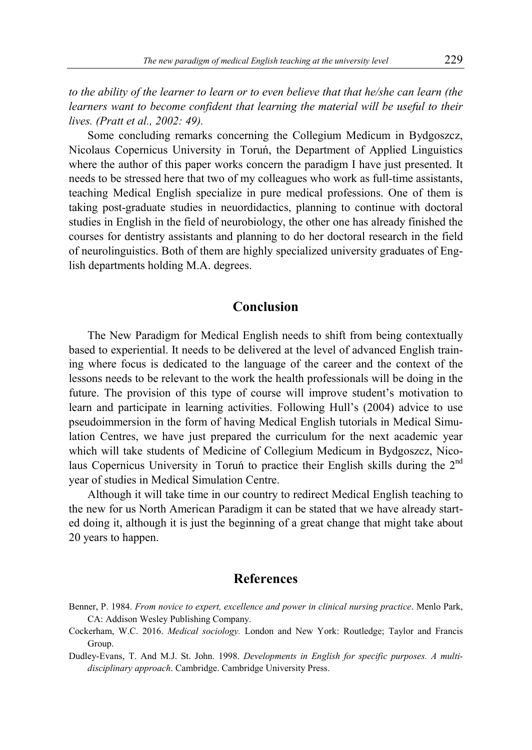*to the ability of the learner to learn or to even believe that that he/she can learn (the learners want to become confident that learning the material will be useful to their lives. (Pratt et al., 2002: 49).*

Some concluding remarks concerning the Collegium Medicum in Bydgoszcz, Nicolaus Copernicus University in Toruń, the Department of Applied Linguistics where the author of this paper works concern the paradigm I have just presented. It needs to be stressed here that two of my colleagues who work as full-time assistants, teaching Medical English specialize in pure medical professions. One of them is taking post-graduate studies in neuordidactics, planning to continue with doctoral studies in English in the field of neurobiology, the other one has already finished the courses for dentistry assistants and planning to do her doctoral research in the field of neurolinguistics. Both of them are highly specialized university graduates of English departments holding M.A. degrees.

#### **Conclusion**

The New Paradigm for Medical English needs to shift from being contextually based to experiential. It needs to be delivered at the level of advanced English training where focus is dedicated to the language of the career and the context of the lessons needs to be relevant to the work the health professionals will be doing in the future. The provision of this type of course will improve student's motivation to learn and participate in learning activities. Following Hull's (2004) advice to use pseudoimmersion in the form of having Medical English tutorials in Medical Simulation Centres, we have just prepared the curriculum for the next academic year which will take students of Medicine of Collegium Medicum in Bydgoszcz, Nicolaus Copernicus University in Toruń to practice their English skills during the  $2<sup>na</sup>$ year of studies in Medical Simulation Centre.

Although it will take time in our country to redirect Medical English teaching to the new for us North American Paradigm it can be stated that we have already started doing it, although it is just the beginning of a great change that might take about 20 years to happen.

### **References**

- Benner, P. 1984. *From novice to expert, excellence and power in clinical nursing practice*. Menlo Park, CA: Addison Wesley Publishing Company.
- Cockerham, W.C. 2016. *Medical sociology.* London and New York: Routledge; Taylor and Francis Group.

Dudley-Evans, T. And M.J. St. John. 1998. *Developments in English for specific purposes. A multidisciplinary approach*. Cambridge. Cambridge University Press.